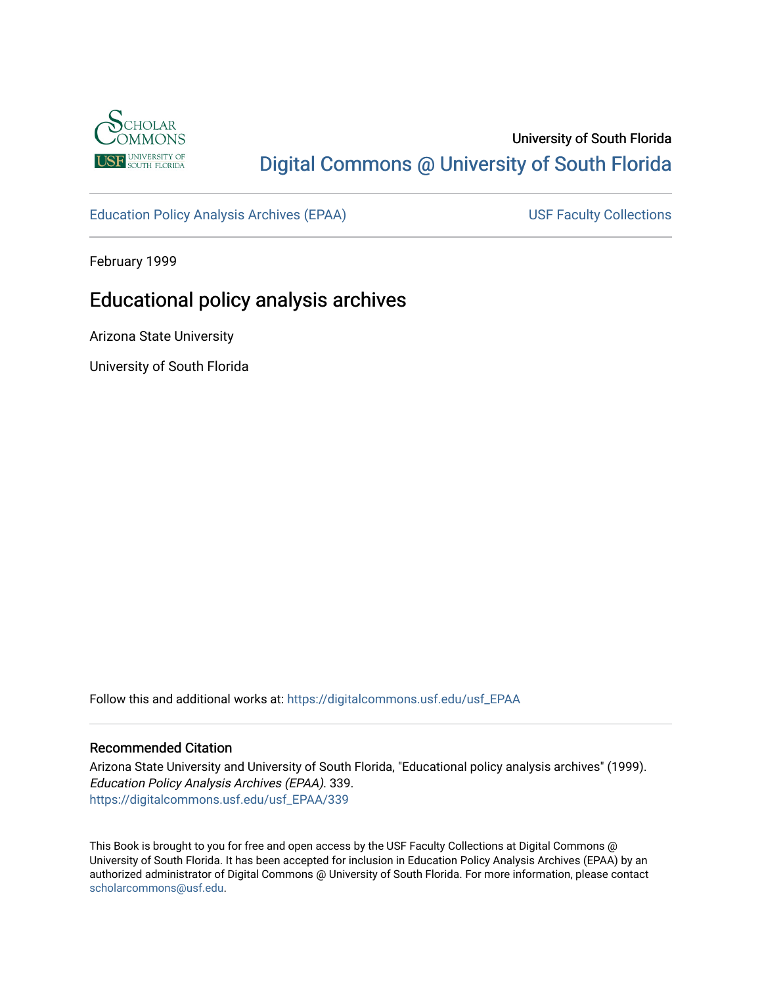

# University of South Florida [Digital Commons @ University of South Florida](https://digitalcommons.usf.edu/)

[Education Policy Analysis Archives \(EPAA\)](https://digitalcommons.usf.edu/usf_EPAA) USF Faculty Collections

February 1999

# Educational policy analysis archives

Arizona State University

University of South Florida

Follow this and additional works at: [https://digitalcommons.usf.edu/usf\\_EPAA](https://digitalcommons.usf.edu/usf_EPAA?utm_source=digitalcommons.usf.edu%2Fusf_EPAA%2F339&utm_medium=PDF&utm_campaign=PDFCoverPages)

### Recommended Citation

Arizona State University and University of South Florida, "Educational policy analysis archives" (1999). Education Policy Analysis Archives (EPAA). 339. [https://digitalcommons.usf.edu/usf\\_EPAA/339](https://digitalcommons.usf.edu/usf_EPAA/339?utm_source=digitalcommons.usf.edu%2Fusf_EPAA%2F339&utm_medium=PDF&utm_campaign=PDFCoverPages)

This Book is brought to you for free and open access by the USF Faculty Collections at Digital Commons @ University of South Florida. It has been accepted for inclusion in Education Policy Analysis Archives (EPAA) by an authorized administrator of Digital Commons @ University of South Florida. For more information, please contact [scholarcommons@usf.edu.](mailto:scholarcommons@usf.edu)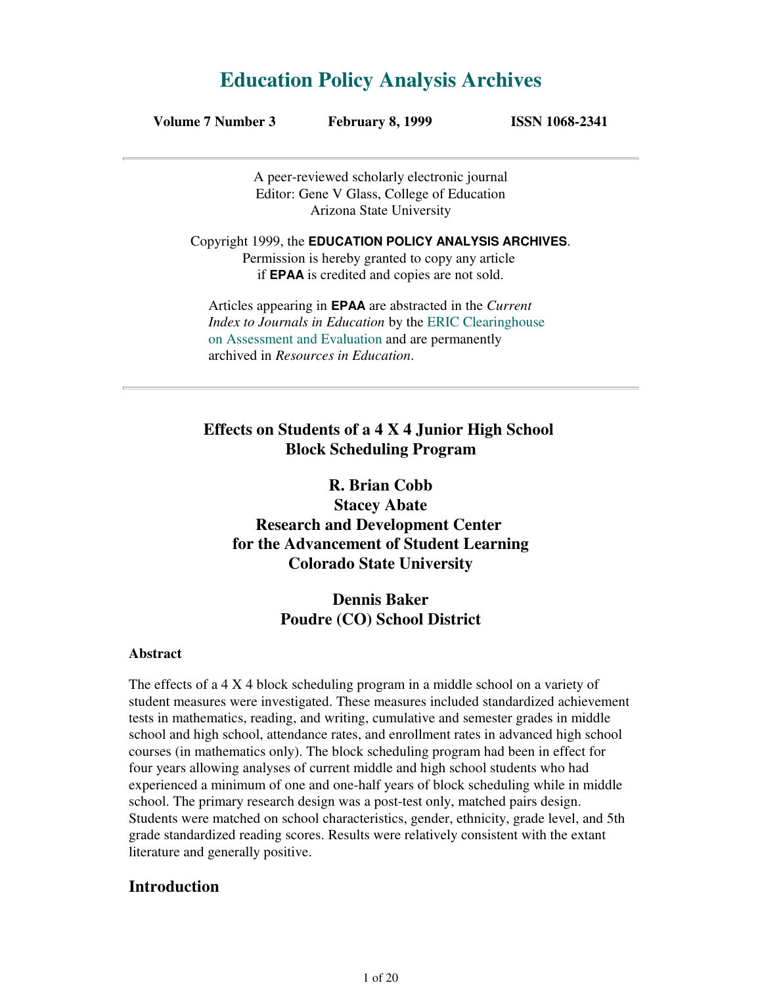# **Education Policy Analysis Archives**

| Volume 7 Number 3 | <b>February 8, 1999</b> | <b>ISSN 1068-2341</b> |
|-------------------|-------------------------|-----------------------|
|-------------------|-------------------------|-----------------------|

A peer-reviewed scholarly electronic journal Editor: Gene V Glass, College of Education Arizona State University

Copyright 1999, the **EDUCATION POLICY ANALYSIS ARCHIVES**. Permission is hereby granted to copy any article if **EPAA** is credited and copies are not sold.

Articles appearing in **EPAA** are abstracted in the *Current Index to Journals in Education* by the ERIC Clearinghouse on Assessment and Evaluation and are permanently archived in *Resources in Education*.

# **Effects on Students of a 4 X 4 Junior High School Block Scheduling Program**

**R. Brian Cobb Stacey Abate Research and Development Center for the Advancement of Student Learning Colorado State University**

# **Dennis Baker Poudre (CO) School District**

### **Abstract**

The effects of a 4 X 4 block scheduling program in a middle school on a variety of student measures were investigated. These measures included standardized achievement tests in mathematics, reading, and writing, cumulative and semester grades in middle school and high school, attendance rates, and enrollment rates in advanced high school courses (in mathematics only). The block scheduling program had been in effect for four years allowing analyses of current middle and high school students who had experienced a minimum of one and one-half years of block scheduling while in middle school. The primary research design was a post-test only, matched pairs design. Students were matched on school characteristics, gender, ethnicity, grade level, and 5th grade standardized reading scores. Results were relatively consistent with the extant literature and generally positive.

### **Introduction**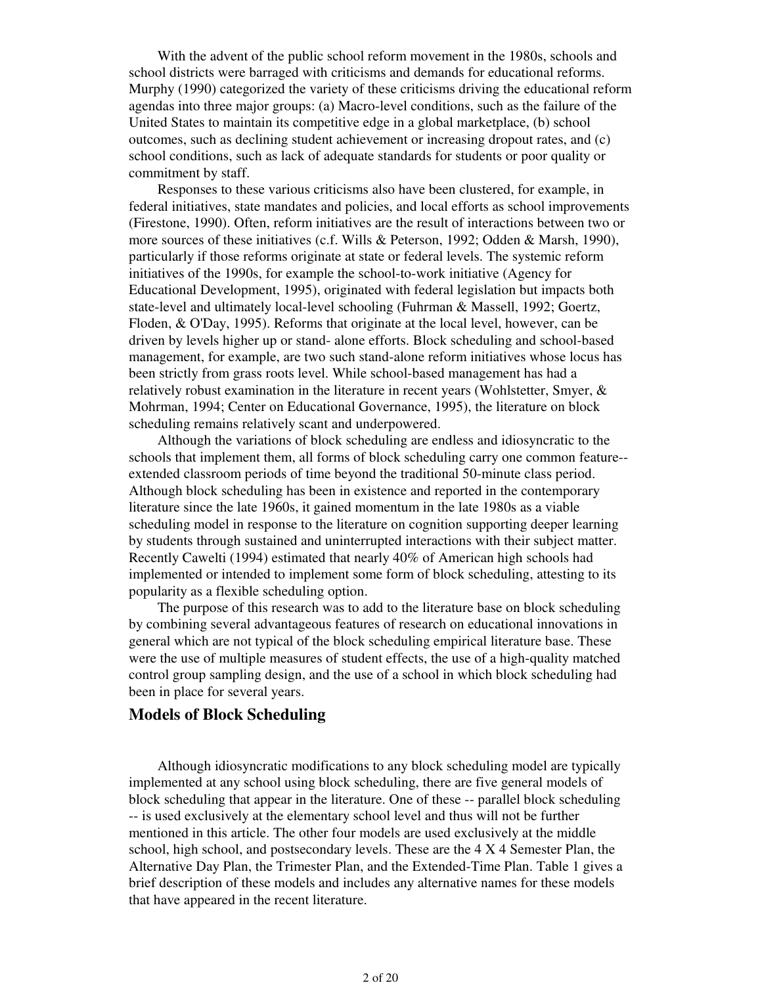With the advent of the public school reform movement in the 1980s, schools and school districts were barraged with criticisms and demands for educational reforms. Murphy (1990) categorized the variety of these criticisms driving the educational reform agendas into three major groups: (a) Macro-level conditions, such as the failure of the United States to maintain its competitive edge in a global marketplace, (b) school outcomes, such as declining student achievement or increasing dropout rates, and (c) school conditions, such as lack of adequate standards for students or poor quality or commitment by staff.

 Responses to these various criticisms also have been clustered, for example, in federal initiatives, state mandates and policies, and local efforts as school improvements (Firestone, 1990). Often, reform initiatives are the result of interactions between two or more sources of these initiatives (c.f. Wills & Peterson, 1992; Odden & Marsh, 1990), particularly if those reforms originate at state or federal levels. The systemic reform initiatives of the 1990s, for example the school-to-work initiative (Agency for Educational Development, 1995), originated with federal legislation but impacts both state-level and ultimately local-level schooling (Fuhrman & Massell, 1992; Goertz, Floden, & O'Day, 1995). Reforms that originate at the local level, however, can be driven by levels higher up or stand- alone efforts. Block scheduling and school-based management, for example, are two such stand-alone reform initiatives whose locus has been strictly from grass roots level. While school-based management has had a relatively robust examination in the literature in recent years (Wohlstetter, Smyer,  $\&$ Mohrman, 1994; Center on Educational Governance, 1995), the literature on block scheduling remains relatively scant and underpowered.

 Although the variations of block scheduling are endless and idiosyncratic to the schools that implement them, all forms of block scheduling carry one common feature- extended classroom periods of time beyond the traditional 50-minute class period. Although block scheduling has been in existence and reported in the contemporary literature since the late 1960s, it gained momentum in the late 1980s as a viable scheduling model in response to the literature on cognition supporting deeper learning by students through sustained and uninterrupted interactions with their subject matter. Recently Cawelti (1994) estimated that nearly 40% of American high schools had implemented or intended to implement some form of block scheduling, attesting to its popularity as a flexible scheduling option.

 The purpose of this research was to add to the literature base on block scheduling by combining several advantageous features of research on educational innovations in general which are not typical of the block scheduling empirical literature base. These were the use of multiple measures of student effects, the use of a high-quality matched control group sampling design, and the use of a school in which block scheduling had been in place for several years.

### **Models of Block Scheduling**

 Although idiosyncratic modifications to any block scheduling model are typically implemented at any school using block scheduling, there are five general models of block scheduling that appear in the literature. One of these -- parallel block scheduling -- is used exclusively at the elementary school level and thus will not be further mentioned in this article. The other four models are used exclusively at the middle school, high school, and postsecondary levels. These are the 4 X 4 Semester Plan, the Alternative Day Plan, the Trimester Plan, and the Extended-Time Plan. Table 1 gives a brief description of these models and includes any alternative names for these models that have appeared in the recent literature.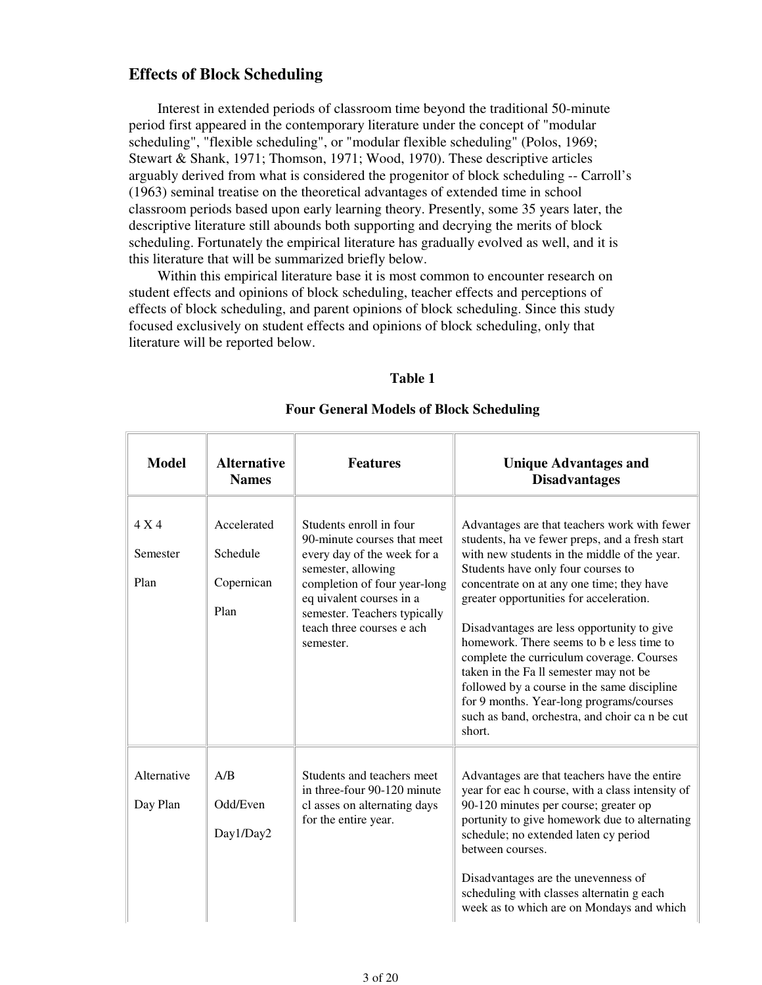## **Effects of Block Scheduling**

 Interest in extended periods of classroom time beyond the traditional 50-minute period first appeared in the contemporary literature under the concept of "modular scheduling", "flexible scheduling", or "modular flexible scheduling" (Polos, 1969; Stewart & Shank, 1971; Thomson, 1971; Wood, 1970). These descriptive articles arguably derived from what is considered the progenitor of block scheduling -- Carroll's (1963) seminal treatise on the theoretical advantages of extended time in school classroom periods based upon early learning theory. Presently, some 35 years later, the descriptive literature still abounds both supporting and decrying the merits of block scheduling. Fortunately the empirical literature has gradually evolved as well, and it is this literature that will be summarized briefly below.

 Within this empirical literature base it is most common to encounter research on student effects and opinions of block scheduling, teacher effects and perceptions of effects of block scheduling, and parent opinions of block scheduling. Since this study focused exclusively on student effects and opinions of block scheduling, only that literature will be reported below.

#### **Table 1**

| <b>Model</b>              | <b>Alternative</b><br><b>Names</b>            | <b>Features</b>                                                                                                                                                                                                                                   | <b>Unique Advantages and</b><br><b>Disadvantages</b>                                                                                                                                                                                                                                                                                                                                                                                                                                                                                                                                                                 |
|---------------------------|-----------------------------------------------|---------------------------------------------------------------------------------------------------------------------------------------------------------------------------------------------------------------------------------------------------|----------------------------------------------------------------------------------------------------------------------------------------------------------------------------------------------------------------------------------------------------------------------------------------------------------------------------------------------------------------------------------------------------------------------------------------------------------------------------------------------------------------------------------------------------------------------------------------------------------------------|
| 4 X 4<br>Semester<br>Plan | Accelerated<br>Schedule<br>Copernican<br>Plan | Students enroll in four<br>90-minute courses that meet<br>every day of the week for a<br>semester, allowing<br>completion of four year-long<br>eq uivalent courses in a<br>semester. Teachers typically<br>teach three courses e ach<br>semester. | Advantages are that teachers work with fewer<br>students, ha ve fewer preps, and a fresh start<br>with new students in the middle of the year.<br>Students have only four courses to<br>concentrate on at any one time; they have<br>greater opportunities for acceleration.<br>Disadvantages are less opportunity to give<br>homework. There seems to b e less time to<br>complete the curriculum coverage. Courses<br>taken in the Fa ll semester may not be<br>followed by a course in the same discipline<br>for 9 months. Year-long programs/courses<br>such as band, orchestra, and choir can be cut<br>short. |
| Alternative<br>Day Plan   | A/B<br>Odd/Even<br>Day1/Day2                  | Students and teachers meet<br>in three-four 90-120 minute<br>cl asses on alternating days<br>for the entire year.                                                                                                                                 | Advantages are that teachers have the entire<br>year for each course, with a class intensity of<br>90-120 minutes per course; greater op<br>portunity to give homework due to alternating<br>schedule; no extended laten cy period<br>between courses.<br>Disadvantages are the unevenness of<br>scheduling with classes alternatin g each<br>week as to which are on Mondays and which                                                                                                                                                                                                                              |

### **Four General Models of Block Scheduling**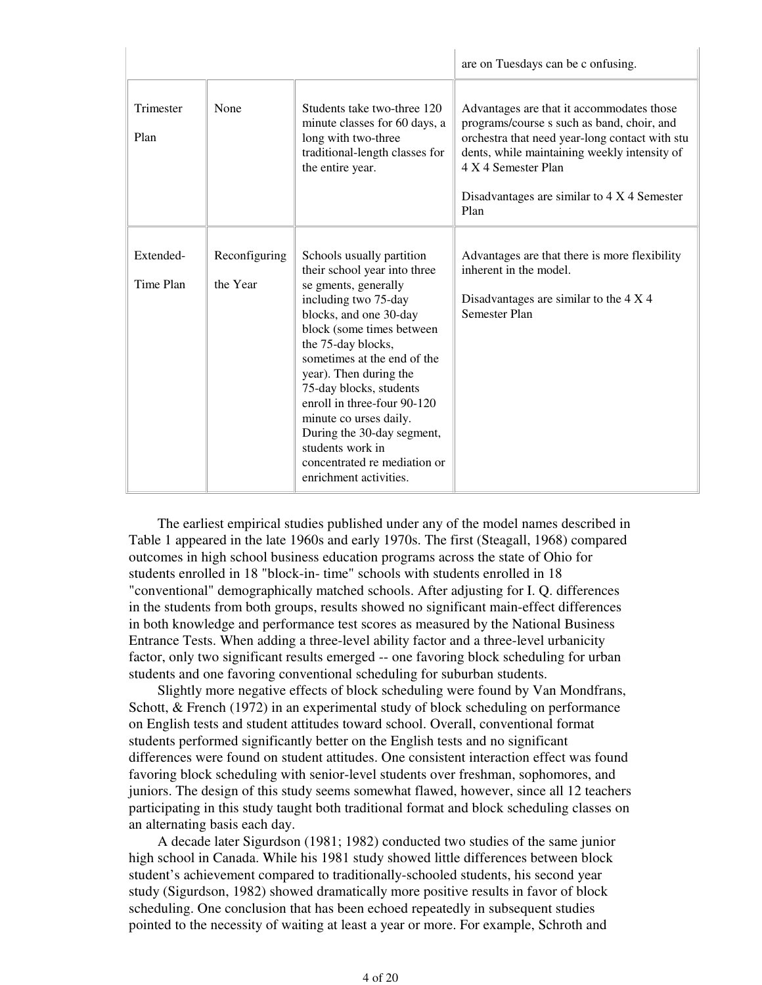|                        |                           |                                                                                                                                                                                                                                                                                                                                                                                                                                                 | are on Tuesdays can be c onfusing.                                                                                                                                                                                                                                      |
|------------------------|---------------------------|-------------------------------------------------------------------------------------------------------------------------------------------------------------------------------------------------------------------------------------------------------------------------------------------------------------------------------------------------------------------------------------------------------------------------------------------------|-------------------------------------------------------------------------------------------------------------------------------------------------------------------------------------------------------------------------------------------------------------------------|
| Trimester<br>Plan      | None                      | Students take two-three 120<br>minute classes for 60 days, a<br>long with two-three<br>traditional-length classes for<br>the entire year.                                                                                                                                                                                                                                                                                                       | Advantages are that it accommodates those<br>programs/course s such as band, choir, and<br>orchestra that need year-long contact with stu<br>dents, while maintaining weekly intensity of<br>4 X 4 Semester Plan<br>Disadvantages are similar to 4 X 4 Semester<br>Plan |
| Extended-<br>Time Plan | Reconfiguring<br>the Year | Schools usually partition<br>their school year into three<br>se gments, generally<br>including two 75-day<br>blocks, and one 30-day<br>block (some times between<br>the 75-day blocks,<br>sometimes at the end of the<br>year). Then during the<br>75-day blocks, students<br>enroll in three-four 90-120<br>minute co urses daily.<br>During the 30-day segment,<br>students work in<br>concentrated re mediation or<br>enrichment activities. | Advantages are that there is more flexibility<br>inherent in the model.<br>Disadvantages are similar to the 4 X 4<br>Semester Plan                                                                                                                                      |

 The earliest empirical studies published under any of the model names described in Table 1 appeared in the late 1960s and early 1970s. The first (Steagall, 1968) compared outcomes in high school business education programs across the state of Ohio for students enrolled in 18 "block-in- time" schools with students enrolled in 18 "conventional" demographically matched schools. After adjusting for I. Q. differences in the students from both groups, results showed no significant main-effect differences in both knowledge and performance test scores as measured by the National Business Entrance Tests. When adding a three-level ability factor and a three-level urbanicity factor, only two significant results emerged -- one favoring block scheduling for urban students and one favoring conventional scheduling for suburban students.

 Slightly more negative effects of block scheduling were found by Van Mondfrans, Schott, & French (1972) in an experimental study of block scheduling on performance on English tests and student attitudes toward school. Overall, conventional format students performed significantly better on the English tests and no significant differences were found on student attitudes. One consistent interaction effect was found favoring block scheduling with senior-level students over freshman, sophomores, and juniors. The design of this study seems somewhat flawed, however, since all 12 teachers participating in this study taught both traditional format and block scheduling classes on an alternating basis each day.

 A decade later Sigurdson (1981; 1982) conducted two studies of the same junior high school in Canada. While his 1981 study showed little differences between block student's achievement compared to traditionally-schooled students, his second year study (Sigurdson, 1982) showed dramatically more positive results in favor of block scheduling. One conclusion that has been echoed repeatedly in subsequent studies pointed to the necessity of waiting at least a year or more. For example, Schroth and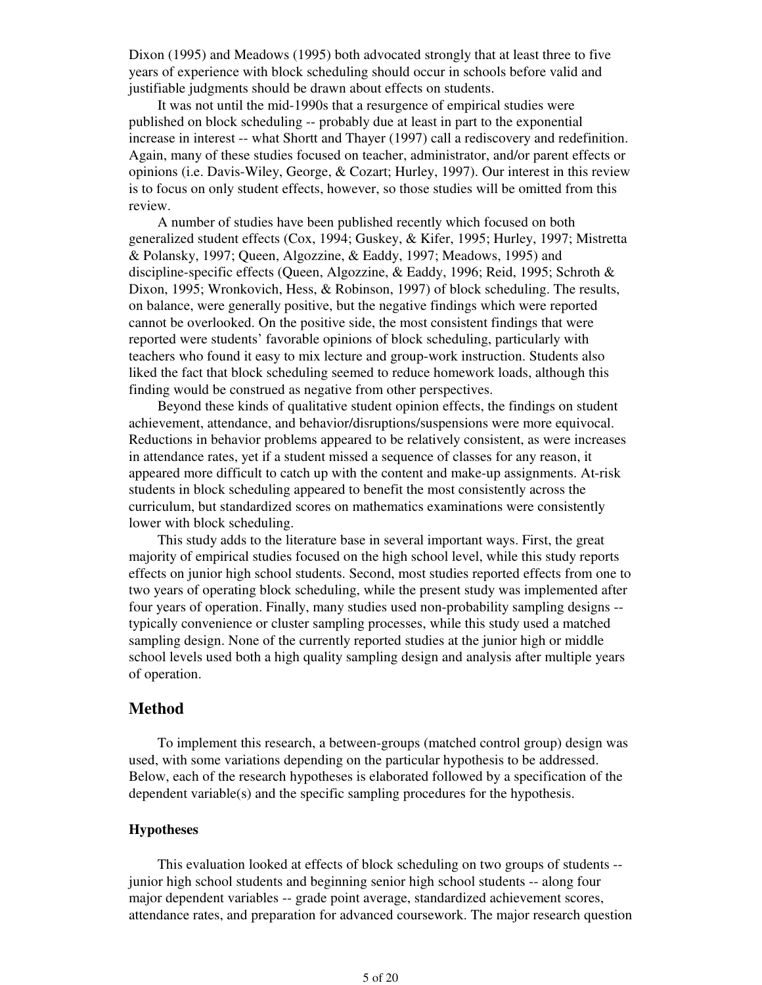Dixon (1995) and Meadows (1995) both advocated strongly that at least three to five years of experience with block scheduling should occur in schools before valid and justifiable judgments should be drawn about effects on students.

 It was not until the mid-1990s that a resurgence of empirical studies were published on block scheduling -- probably due at least in part to the exponential increase in interest -- what Shortt and Thayer (1997) call a rediscovery and redefinition. Again, many of these studies focused on teacher, administrator, and/or parent effects or opinions (i.e. Davis-Wiley, George, & Cozart; Hurley, 1997). Our interest in this review is to focus on only student effects, however, so those studies will be omitted from this review.

 A number of studies have been published recently which focused on both generalized student effects (Cox, 1994; Guskey, & Kifer, 1995; Hurley, 1997; Mistretta & Polansky, 1997; Queen, Algozzine, & Eaddy, 1997; Meadows, 1995) and discipline-specific effects (Queen, Algozzine, & Eaddy, 1996; Reid, 1995; Schroth & Dixon, 1995; Wronkovich, Hess, & Robinson, 1997) of block scheduling. The results, on balance, were generally positive, but the negative findings which were reported cannot be overlooked. On the positive side, the most consistent findings that were reported were students' favorable opinions of block scheduling, particularly with teachers who found it easy to mix lecture and group-work instruction. Students also liked the fact that block scheduling seemed to reduce homework loads, although this finding would be construed as negative from other perspectives.

 Beyond these kinds of qualitative student opinion effects, the findings on student achievement, attendance, and behavior/disruptions/suspensions were more equivocal. Reductions in behavior problems appeared to be relatively consistent, as were increases in attendance rates, yet if a student missed a sequence of classes for any reason, it appeared more difficult to catch up with the content and make-up assignments. At-risk students in block scheduling appeared to benefit the most consistently across the curriculum, but standardized scores on mathematics examinations were consistently lower with block scheduling.

 This study adds to the literature base in several important ways. First, the great majority of empirical studies focused on the high school level, while this study reports effects on junior high school students. Second, most studies reported effects from one to two years of operating block scheduling, while the present study was implemented after four years of operation. Finally, many studies used non-probability sampling designs - typically convenience or cluster sampling processes, while this study used a matched sampling design. None of the currently reported studies at the junior high or middle school levels used both a high quality sampling design and analysis after multiple years of operation.

#### **Method**

 To implement this research, a between-groups (matched control group) design was used, with some variations depending on the particular hypothesis to be addressed. Below, each of the research hypotheses is elaborated followed by a specification of the dependent variable(s) and the specific sampling procedures for the hypothesis.

#### **Hypotheses**

 This evaluation looked at effects of block scheduling on two groups of students - junior high school students and beginning senior high school students -- along four major dependent variables -- grade point average, standardized achievement scores, attendance rates, and preparation for advanced coursework. The major research question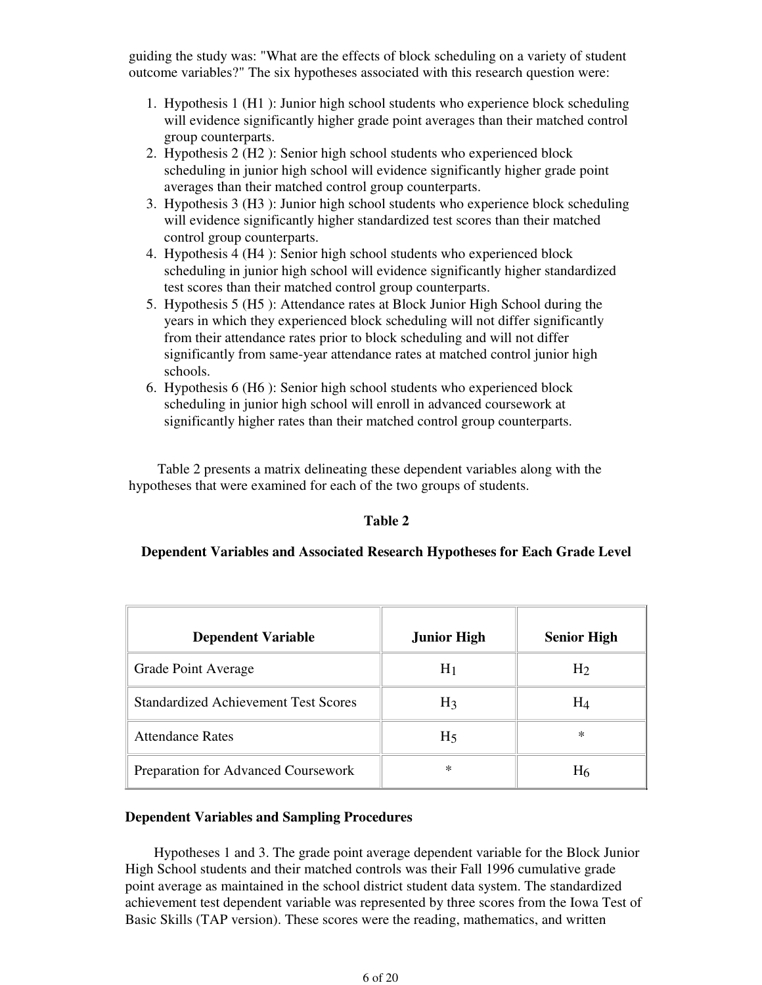guiding the study was: "What are the effects of block scheduling on a variety of student outcome variables?" The six hypotheses associated with this research question were:

- 1. Hypothesis 1 (H1): Junior high school students who experience block scheduling will evidence significantly higher grade point averages than their matched control group counterparts.
- 2. Hypothesis 2 (H2): Senior high school students who experienced block scheduling in junior high school will evidence significantly higher grade point averages than their matched control group counterparts.
- 3. Hypothesis 3 (H3): Junior high school students who experience block scheduling will evidence significantly higher standardized test scores than their matched control group counterparts.
- 4. Hypothesis 4 (H4): Senior high school students who experienced block scheduling in junior high school will evidence significantly higher standardized test scores than their matched control group counterparts.
- 5. Hypothesis 5 (H5): Attendance rates at Block Junior High School during the years in which they experienced block scheduling will not differ significantly from their attendance rates prior to block scheduling and will not differ significantly from same-year attendance rates at matched control junior high schools.
- 6. Hypothesis 6 (H6): Senior high school students who experienced block scheduling in junior high school will enroll in advanced coursework at significantly higher rates than their matched control group counterparts.

 Table 2 presents a matrix delineating these dependent variables along with the hypotheses that were examined for each of the two groups of students.

### **Table 2**

### **Dependent Variables and Associated Research Hypotheses for Each Grade Level**

| <b>Dependent Variable</b>                   | <b>Junior High</b> | <b>Senior High</b> |
|---------------------------------------------|--------------------|--------------------|
| Grade Point Average                         | H <sub>1</sub>     | H <sub>2</sub>     |
| <b>Standardized Achievement Test Scores</b> | $H_3$              | $H_4$              |
| <b>Attendance Rates</b>                     | H <sub>5</sub>     | $\ast$             |
| Preparation for Advanced Coursework         | ∗                  | H <sub>6</sub>     |

### **Dependent Variables and Sampling Procedures**

 Hypotheses 1 and 3. The grade point average dependent variable for the Block Junior High School students and their matched controls was their Fall 1996 cumulative grade point average as maintained in the school district student data system. The standardized achievement test dependent variable was represented by three scores from the Iowa Test of Basic Skills (TAP version). These scores were the reading, mathematics, and written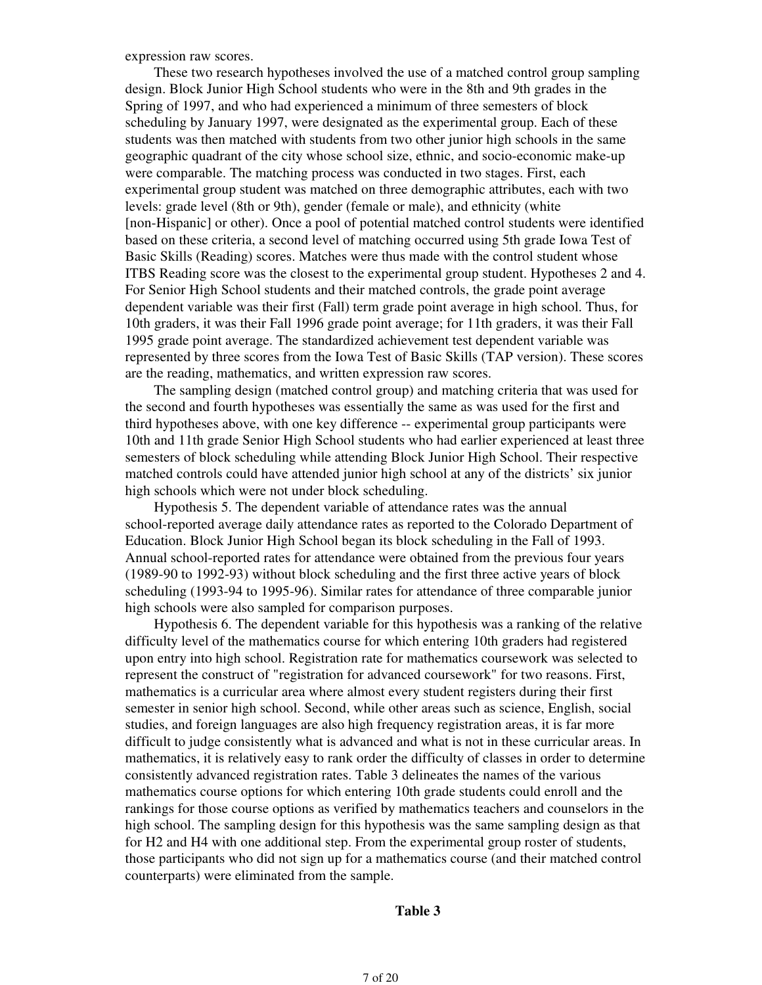expression raw scores.

 These two research hypotheses involved the use of a matched control group sampling design. Block Junior High School students who were in the 8th and 9th grades in the Spring of 1997, and who had experienced a minimum of three semesters of block scheduling by January 1997, were designated as the experimental group. Each of these students was then matched with students from two other junior high schools in the same geographic quadrant of the city whose school size, ethnic, and socio-economic make-up were comparable. The matching process was conducted in two stages. First, each experimental group student was matched on three demographic attributes, each with two levels: grade level (8th or 9th), gender (female or male), and ethnicity (white [non-Hispanic] or other). Once a pool of potential matched control students were identified based on these criteria, a second level of matching occurred using 5th grade Iowa Test of Basic Skills (Reading) scores. Matches were thus made with the control student whose ITBS Reading score was the closest to the experimental group student. Hypotheses 2 and 4. For Senior High School students and their matched controls, the grade point average dependent variable was their first (Fall) term grade point average in high school. Thus, for 10th graders, it was their Fall 1996 grade point average; for 11th graders, it was their Fall 1995 grade point average. The standardized achievement test dependent variable was represented by three scores from the Iowa Test of Basic Skills (TAP version). These scores are the reading, mathematics, and written expression raw scores.

 The sampling design (matched control group) and matching criteria that was used for the second and fourth hypotheses was essentially the same as was used for the first and third hypotheses above, with one key difference -- experimental group participants were 10th and 11th grade Senior High School students who had earlier experienced at least three semesters of block scheduling while attending Block Junior High School. Their respective matched controls could have attended junior high school at any of the districts' six junior high schools which were not under block scheduling.

 Hypothesis 5. The dependent variable of attendance rates was the annual school-reported average daily attendance rates as reported to the Colorado Department of Education. Block Junior High School began its block scheduling in the Fall of 1993. Annual school-reported rates for attendance were obtained from the previous four years (1989-90 to 1992-93) without block scheduling and the first three active years of block scheduling (1993-94 to 1995-96). Similar rates for attendance of three comparable junior high schools were also sampled for comparison purposes.

 Hypothesis 6. The dependent variable for this hypothesis was a ranking of the relative difficulty level of the mathematics course for which entering 10th graders had registered upon entry into high school. Registration rate for mathematics coursework was selected to represent the construct of "registration for advanced coursework" for two reasons. First, mathematics is a curricular area where almost every student registers during their first semester in senior high school. Second, while other areas such as science, English, social studies, and foreign languages are also high frequency registration areas, it is far more difficult to judge consistently what is advanced and what is not in these curricular areas. In mathematics, it is relatively easy to rank order the difficulty of classes in order to determine consistently advanced registration rates. Table 3 delineates the names of the various mathematics course options for which entering 10th grade students could enroll and the rankings for those course options as verified by mathematics teachers and counselors in the high school. The sampling design for this hypothesis was the same sampling design as that for H2 and H4 with one additional step. From the experimental group roster of students, those participants who did not sign up for a mathematics course (and their matched control counterparts) were eliminated from the sample.

#### **Table 3**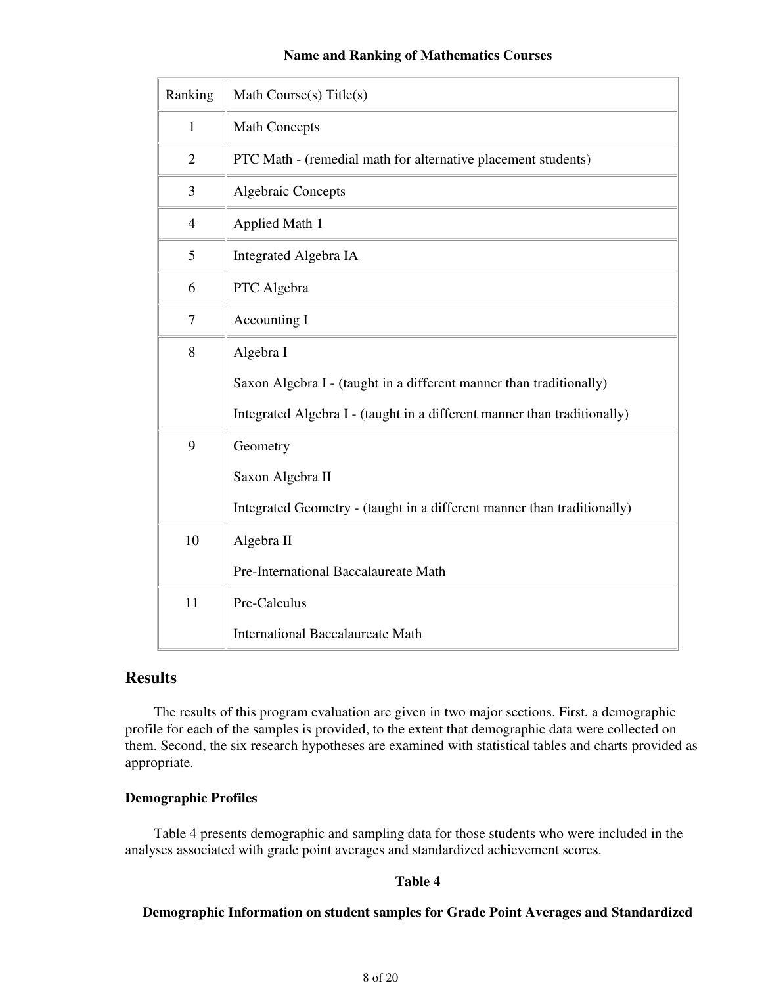### **Name and Ranking of Mathematics Courses**

| Ranking        | Math Course(s) Title(s)                                                  |
|----------------|--------------------------------------------------------------------------|
| $\mathbf{1}$   | <b>Math Concepts</b>                                                     |
| $\overline{2}$ | PTC Math - (remedial math for alternative placement students)            |
| 3              | <b>Algebraic Concepts</b>                                                |
| $\overline{4}$ | Applied Math 1                                                           |
| 5              | Integrated Algebra IA                                                    |
| 6              | PTC Algebra                                                              |
| 7              | Accounting I                                                             |
| 8              | Algebra I                                                                |
|                | Saxon Algebra I - (taught in a different manner than traditionally)      |
|                | Integrated Algebra I - (taught in a different manner than traditionally) |
| 9              | Geometry                                                                 |
|                | Saxon Algebra II                                                         |
|                | Integrated Geometry - (taught in a different manner than traditionally)  |
| 10             | Algebra II                                                               |
|                | Pre-International Baccalaureate Math                                     |
| 11             | Pre-Calculus                                                             |
|                | <b>International Baccalaureate Math</b>                                  |

# **Results**

 The results of this program evaluation are given in two major sections. First, a demographic profile for each of the samples is provided, to the extent that demographic data were collected on them. Second, the six research hypotheses are examined with statistical tables and charts provided as appropriate.

### **Demographic Profiles**

 Table 4 presents demographic and sampling data for those students who were included in the analyses associated with grade point averages and standardized achievement scores.

### **Table 4**

### **Demographic Information on student samples for Grade Point Averages and Standardized**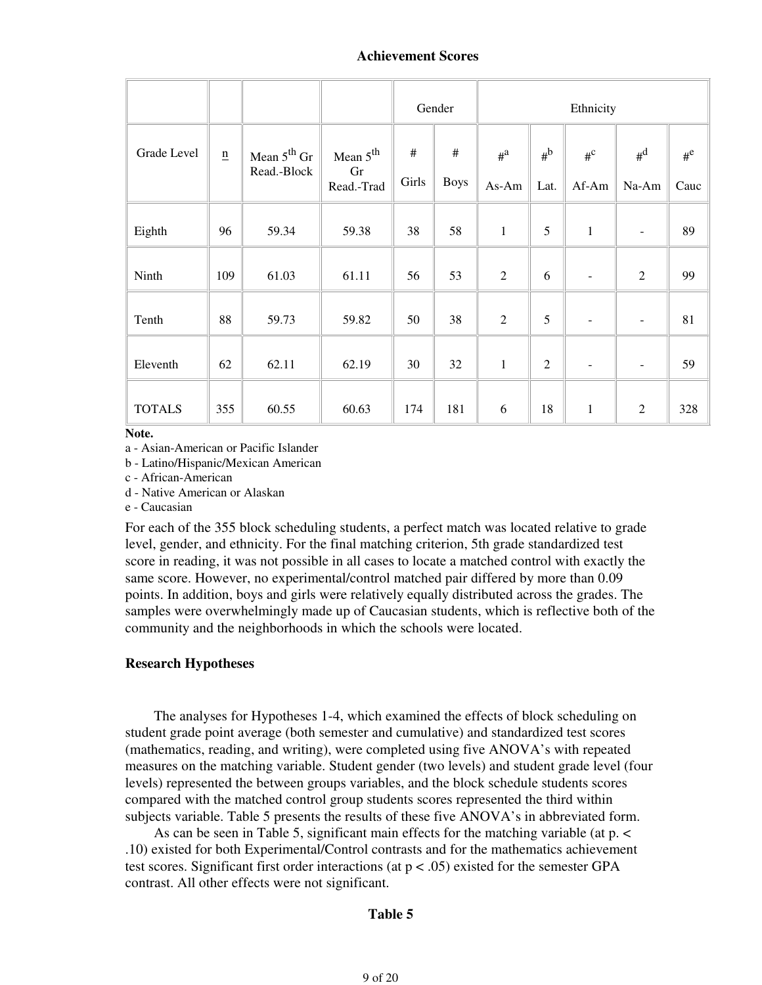|               |                             |                                 |                                          |               | Gender              | Ethnicity              |               |                          |                          |               |
|---------------|-----------------------------|---------------------------------|------------------------------------------|---------------|---------------------|------------------------|---------------|--------------------------|--------------------------|---------------|
| Grade Level   | $\underline{\underline{n}}$ | Mean $5^{th}$ Gr<br>Read.-Block | Mean $5^{\text{th}}$<br>Gr<br>Read.-Trad | $\#$<br>Girls | $\#$<br><b>Boys</b> | $\mu^{\rm a}$<br>As-Am | $#^b$<br>Lat. | $\rm{H}^C$<br>Af-Am      | $\rm H^{d}$<br>Na-Am     | $#^e$<br>Cauc |
| Eighth        | 96                          | 59.34                           | 59.38                                    | 38            | 58                  | $\mathbf{1}$           | 5             | $\mathbf{1}$             | $\overline{\phantom{a}}$ | 89            |
| Ninth         | 109                         | 61.03                           | 61.11                                    | 56            | 53                  | $\overline{2}$         | 6             | $\overline{\phantom{a}}$ | $\overline{2}$           | 99            |
| Tenth         | 88                          | 59.73                           | 59.82                                    | 50            | 38                  | $\overline{2}$         | 5             | $\overline{\phantom{a}}$ | $\overline{\phantom{a}}$ | 81            |
| Eleventh      | 62                          | 62.11                           | 62.19                                    | 30            | 32                  | $\,1$                  | $\sqrt{2}$    | $\overline{\phantom{a}}$ | $\overline{\phantom{a}}$ | 59            |
| <b>TOTALS</b> | 355                         | 60.55                           | 60.63                                    | 174           | 181                 | 6                      | 18            | $\mathbf{1}$             | $\sqrt{2}$               | 328           |

#### **Note.**

a - Asian-American or Pacific Islander

b - Latino/Hispanic/Mexican American

c - African-American

d - Native American or Alaskan

e - Caucasian

For each of the 355 block scheduling students, a perfect match was located relative to grade level, gender, and ethnicity. For the final matching criterion, 5th grade standardized test score in reading, it was not possible in all cases to locate a matched control with exactly the same score. However, no experimental/control matched pair differed by more than 0.09 points. In addition, boys and girls were relatively equally distributed across the grades. The samples were overwhelmingly made up of Caucasian students, which is reflective both of the community and the neighborhoods in which the schools were located.

#### **Research Hypotheses**

 The analyses for Hypotheses 1-4, which examined the effects of block scheduling on student grade point average (both semester and cumulative) and standardized test scores (mathematics, reading, and writing), were completed using five ANOVA's with repeated measures on the matching variable. Student gender (two levels) and student grade level (four levels) represented the between groups variables, and the block schedule students scores compared with the matched control group students scores represented the third within subjects variable. Table 5 presents the results of these five ANOVA's in abbreviated form.

 As can be seen in Table 5, significant main effects for the matching variable (at p. < .10) existed for both Experimental/Control contrasts and for the mathematics achievement test scores. Significant first order interactions (at  $p < .05$ ) existed for the semester GPA contrast. All other effects were not significant.

#### **Table 5**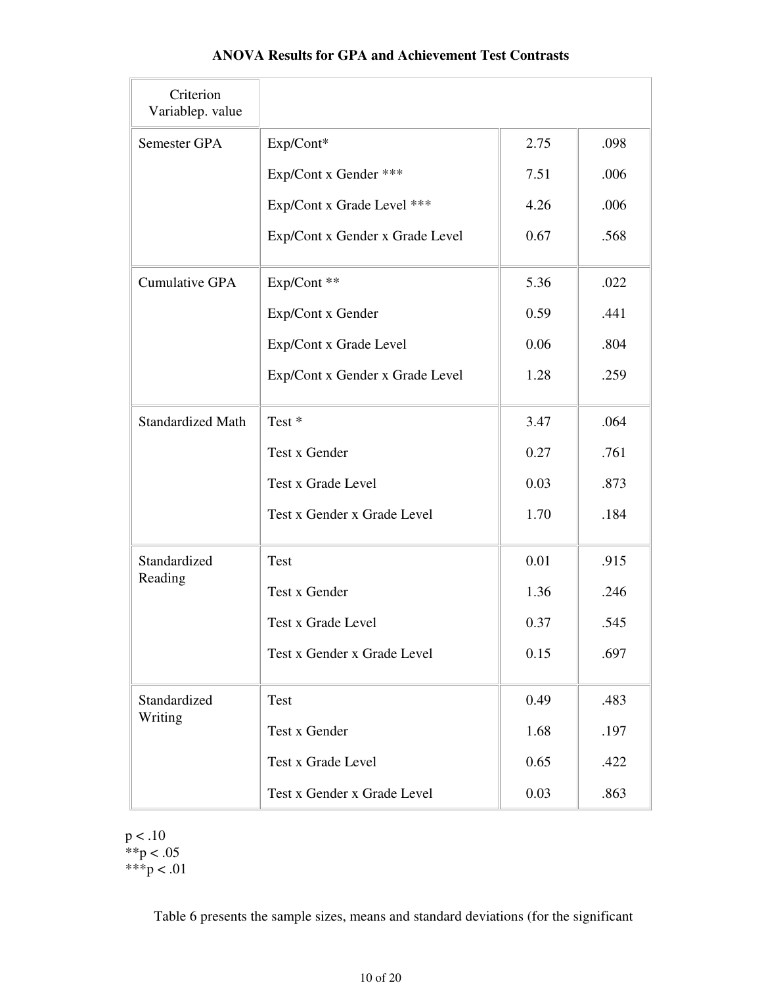| Criterion<br>Variablep. value |                                 |      |      |
|-------------------------------|---------------------------------|------|------|
| Semester GPA                  | Exp/Cont*                       | 2.75 | .098 |
|                               | Exp/Cont x Gender ***           | 7.51 | .006 |
|                               | Exp/Cont x Grade Level ***      | 4.26 | .006 |
|                               | Exp/Cont x Gender x Grade Level | 0.67 | .568 |
| <b>Cumulative GPA</b>         | Exp/Cont **                     | 5.36 | .022 |
|                               | Exp/Cont x Gender               | 0.59 | .441 |
|                               | Exp/Cont x Grade Level          | 0.06 | .804 |
|                               | Exp/Cont x Gender x Grade Level | 1.28 | .259 |
| <b>Standardized Math</b>      | Test <sup>*</sup>               | 3.47 | .064 |
|                               | Test x Gender                   | 0.27 | .761 |
|                               | Test x Grade Level              | 0.03 | .873 |
|                               | Test x Gender x Grade Level     | 1.70 | .184 |
| Standardized                  | <b>Test</b>                     | 0.01 | .915 |
| Reading                       | Test x Gender                   | 1.36 | .246 |
|                               | Test x Grade Level              | 0.37 | .545 |
|                               | Test x Gender x Grade Level     | 0.15 | .697 |
| Standardized                  | Test                            | 0.49 | .483 |
| Writing                       | Test x Gender                   | 1.68 | .197 |
|                               | Test x Grade Level              | 0.65 | .422 |
|                               | Test x Gender x Grade Level     | 0.03 | .863 |

## **ANOVA Results for GPA and Achievement Test Contrasts**

 $p < .10$  $*$  $p$  < .05 \*\*\*p < .01

Table 6 presents the sample sizes, means and standard deviations (for the significant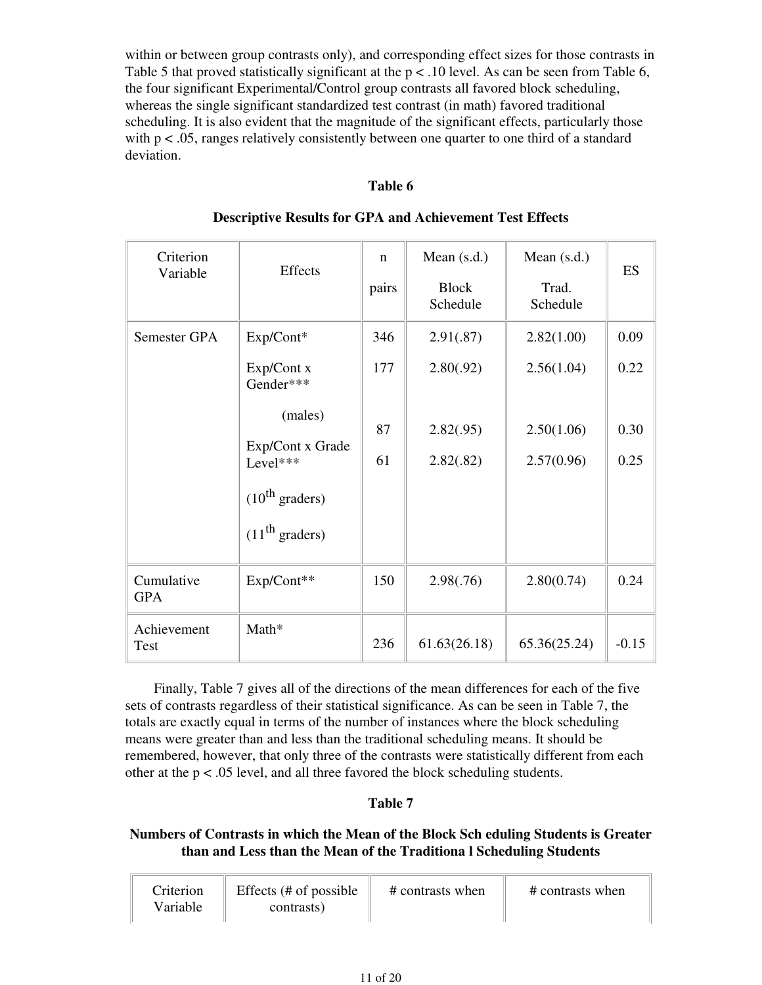within or between group contrasts only), and corresponding effect sizes for those contrasts in Table 5 that proved statistically significant at the  $p < 0.10$  level. As can be seen from Table 6, the four significant Experimental/Control group contrasts all favored block scheduling, whereas the single significant standardized test contrast (in math) favored traditional scheduling. It is also evident that the magnitude of the significant effects, particularly those with  $p < .05$ , ranges relatively consistently between one quarter to one third of a standard deviation.

### **Table 6**

| Criterion<br>Variable    | <b>Effects</b>              | $\mathbf n$<br>pairs | Mean $(s.d.)$<br><b>Block</b><br>Schedule | Mean (s.d.)<br>Trad.<br>Schedule | ES      |
|--------------------------|-----------------------------|----------------------|-------------------------------------------|----------------------------------|---------|
| Semester GPA             | Exp/Cont*                   | 346                  | 2.91(.87)                                 | 2.82(1.00)                       | 0.09    |
|                          | Exp/Cont x<br>Gender***     | 177                  | 2.80(.92)                                 | 2.56(1.04)                       | 0.22    |
|                          | (males)<br>Exp/Cont x Grade | 87                   | 2.82(.95)                                 | 2.50(1.06)                       | 0.30    |
|                          | Level***                    | 61                   | 2.82(.82)                                 | 2.57(0.96)                       | 0.25    |
|                          | $(10^{th}$ graders)         |                      |                                           |                                  |         |
|                          | (11 <sup>th</sup> graders)  |                      |                                           |                                  |         |
| Cumulative<br><b>GPA</b> | Exp/Cont**                  | 150                  | 2.98(.76)                                 | 2.80(0.74)                       | 0.24    |
| Achievement<br>Test      | Math*                       | 236                  | 61.63(26.18)                              | 65.36(25.24)                     | $-0.15$ |

### **Descriptive Results for GPA and Achievement Test Effects**

 Finally, Table 7 gives all of the directions of the mean differences for each of the five sets of contrasts regardless of their statistical significance. As can be seen in Table 7, the totals are exactly equal in terms of the number of instances where the block scheduling means were greater than and less than the traditional scheduling means. It should be remembered, however, that only three of the contrasts were statistically different from each other at the p < .05 level, and all three favored the block scheduling students.

# **Table 7**

## **Numbers of Contrasts in which the Mean of the Block Sch eduling Students is Greater than and Less than the Mean of the Traditiona l Scheduling Students**

| Criterion | Effects (# of possible) | # contrasts when | # contrasts when |
|-----------|-------------------------|------------------|------------------|
| Variable  | contrasts)              |                  |                  |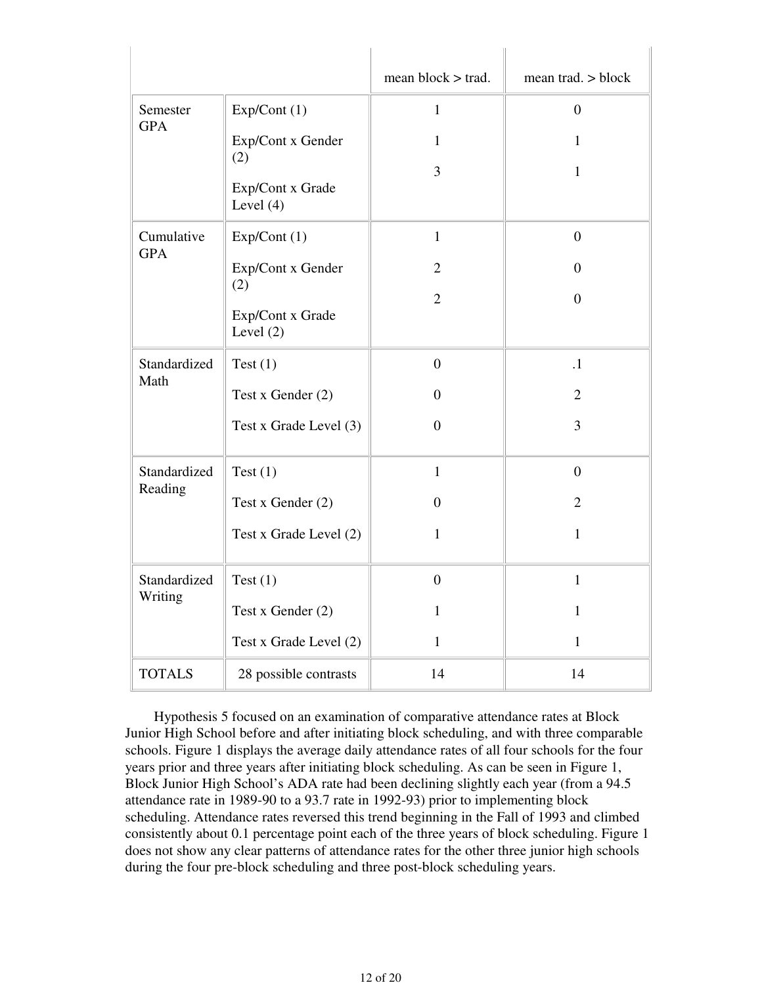|               |                                        | mean $block$ > trad. | mean trad. $>$ block |
|---------------|----------------------------------------|----------------------|----------------------|
| Semester      | Exp/Cont(1)                            | $\mathbf{1}$         | $\overline{0}$       |
| <b>GPA</b>    | Exp/Cont x Gender                      | 1                    | 1                    |
|               | (2)<br>Exp/Cont x Grade<br>Level $(4)$ | 3                    | $\mathbf{1}$         |
| Cumulative    | Exp/Cont(1)                            | $\mathbf{1}$         | $\overline{0}$       |
| <b>GPA</b>    | Exp/Cont x Gender                      | $\overline{2}$       | $\overline{0}$       |
|               | (2)<br>Exp/Cont x Grade<br>Level $(2)$ | $\overline{2}$       | $\Omega$             |
| Standardized  | Test $(1)$                             | $\overline{0}$       | $\cdot$ 1            |
| Math          | Test x Gender (2)                      | $\Omega$             | $\overline{2}$       |
|               | Test x Grade Level (3)                 | $\boldsymbol{0}$     | 3                    |
| Standardized  | Test $(1)$                             | $\mathbf{1}$         | $\overline{0}$       |
| Reading       | Test x Gender (2)                      | $\mathbf{0}$         | $\overline{2}$       |
|               | Test x Grade Level (2)                 | 1                    | 1                    |
| Standardized  | Test $(1)$                             | $\boldsymbol{0}$     | $\mathbf{1}$         |
| Writing       | Test x Gender (2)                      | 1                    | 1                    |
|               | Test x Grade Level (2)                 | 1                    | 1                    |
| <b>TOTALS</b> | 28 possible contrasts                  | 14                   | 14                   |

 Hypothesis 5 focused on an examination of comparative attendance rates at Block Junior High School before and after initiating block scheduling, and with three comparable schools. Figure 1 displays the average daily attendance rates of all four schools for the four years prior and three years after initiating block scheduling. As can be seen in Figure 1, Block Junior High School's ADA rate had been declining slightly each year (from a 94.5 attendance rate in 1989-90 to a 93.7 rate in 1992-93) prior to implementing block scheduling. Attendance rates reversed this trend beginning in the Fall of 1993 and climbed consistently about 0.1 percentage point each of the three years of block scheduling. Figure 1 does not show any clear patterns of attendance rates for the other three junior high schools during the four pre-block scheduling and three post-block scheduling years.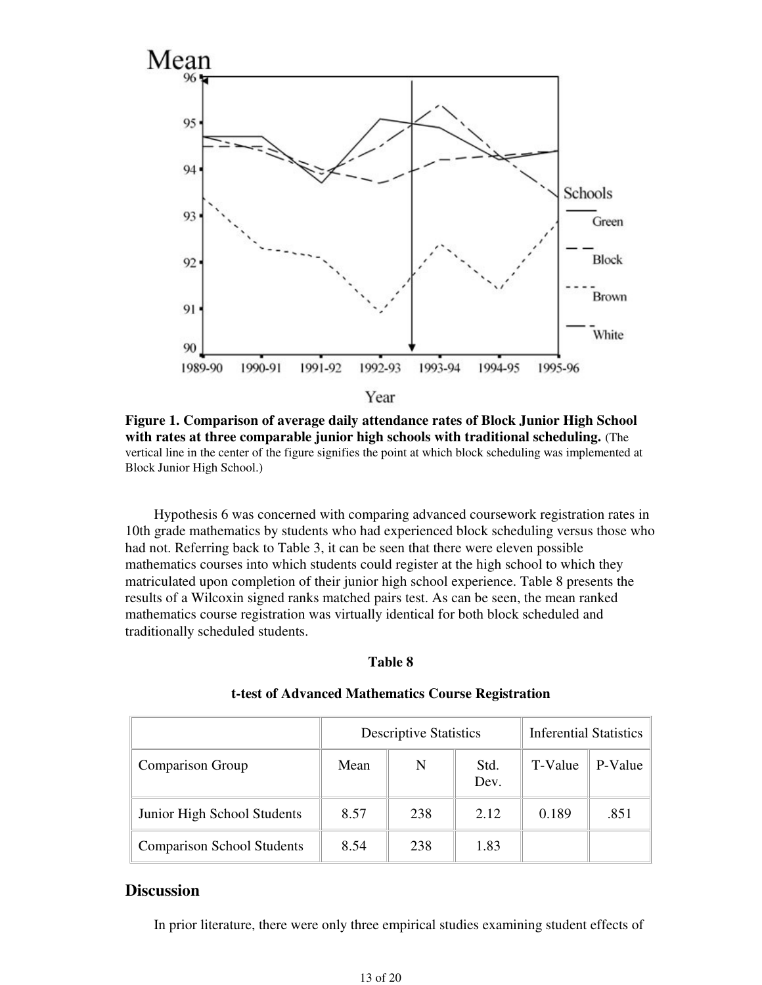

**Figure 1. Comparison of average daily attendance rates of Block Junior High School with rates at three comparable junior high schools with traditional scheduling.** (The vertical line in the center of the figure signifies the point at which block scheduling was implemented at Block Junior High School.)

 Hypothesis 6 was concerned with comparing advanced coursework registration rates in 10th grade mathematics by students who had experienced block scheduling versus those who had not. Referring back to Table 3, it can be seen that there were eleven possible mathematics courses into which students could register at the high school to which they matriculated upon completion of their junior high school experience. Table 8 presents the results of a Wilcoxin signed ranks matched pairs test. As can be seen, the mean ranked mathematics course registration was virtually identical for both block scheduled and traditionally scheduled students.

#### **Table 8**

|                                   |      | <b>Descriptive Statistics</b> | <b>Inferential Statistics</b> |         |         |
|-----------------------------------|------|-------------------------------|-------------------------------|---------|---------|
| <b>Comparison Group</b>           | Mean | N                             | Std.<br>Dev.                  | T-Value | P-Value |
| Junior High School Students       | 8.57 | 238                           | 2.12                          | 0.189   | .851    |
| <b>Comparison School Students</b> | 8.54 | 238                           | 1.83                          |         |         |

#### **t-test of Advanced Mathematics Course Registration**

### **Discussion**

In prior literature, there were only three empirical studies examining student effects of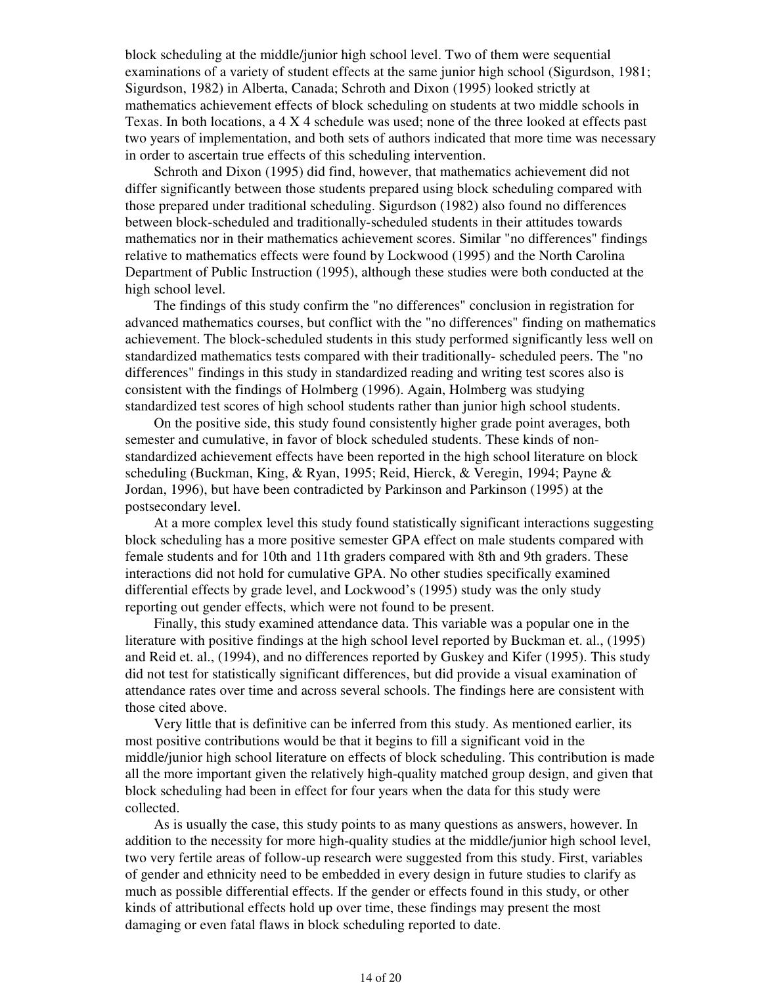block scheduling at the middle/junior high school level. Two of them were sequential examinations of a variety of student effects at the same junior high school (Sigurdson, 1981; Sigurdson, 1982) in Alberta, Canada; Schroth and Dixon (1995) looked strictly at mathematics achievement effects of block scheduling on students at two middle schools in Texas. In both locations, a 4 X 4 schedule was used; none of the three looked at effects past two years of implementation, and both sets of authors indicated that more time was necessary in order to ascertain true effects of this scheduling intervention.

 Schroth and Dixon (1995) did find, however, that mathematics achievement did not differ significantly between those students prepared using block scheduling compared with those prepared under traditional scheduling. Sigurdson (1982) also found no differences between block-scheduled and traditionally-scheduled students in their attitudes towards mathematics nor in their mathematics achievement scores. Similar "no differences" findings relative to mathematics effects were found by Lockwood (1995) and the North Carolina Department of Public Instruction (1995), although these studies were both conducted at the high school level.

 The findings of this study confirm the "no differences" conclusion in registration for advanced mathematics courses, but conflict with the "no differences" finding on mathematics achievement. The block-scheduled students in this study performed significantly less well on standardized mathematics tests compared with their traditionally- scheduled peers. The "no differences" findings in this study in standardized reading and writing test scores also is consistent with the findings of Holmberg (1996). Again, Holmberg was studying standardized test scores of high school students rather than junior high school students.

 On the positive side, this study found consistently higher grade point averages, both semester and cumulative, in favor of block scheduled students. These kinds of nonstandardized achievement effects have been reported in the high school literature on block scheduling (Buckman, King, & Ryan, 1995; Reid, Hierck, & Veregin, 1994; Payne & Jordan, 1996), but have been contradicted by Parkinson and Parkinson (1995) at the postsecondary level.

 At a more complex level this study found statistically significant interactions suggesting block scheduling has a more positive semester GPA effect on male students compared with female students and for 10th and 11th graders compared with 8th and 9th graders. These interactions did not hold for cumulative GPA. No other studies specifically examined differential effects by grade level, and Lockwood's (1995) study was the only study reporting out gender effects, which were not found to be present.

 Finally, this study examined attendance data. This variable was a popular one in the literature with positive findings at the high school level reported by Buckman et. al., (1995) and Reid et. al., (1994), and no differences reported by Guskey and Kifer (1995). This study did not test for statistically significant differences, but did provide a visual examination of attendance rates over time and across several schools. The findings here are consistent with those cited above.

 Very little that is definitive can be inferred from this study. As mentioned earlier, its most positive contributions would be that it begins to fill a significant void in the middle/junior high school literature on effects of block scheduling. This contribution is made all the more important given the relatively high-quality matched group design, and given that block scheduling had been in effect for four years when the data for this study were collected.

 As is usually the case, this study points to as many questions as answers, however. In addition to the necessity for more high-quality studies at the middle/junior high school level, two very fertile areas of follow-up research were suggested from this study. First, variables of gender and ethnicity need to be embedded in every design in future studies to clarify as much as possible differential effects. If the gender or effects found in this study, or other kinds of attributional effects hold up over time, these findings may present the most damaging or even fatal flaws in block scheduling reported to date.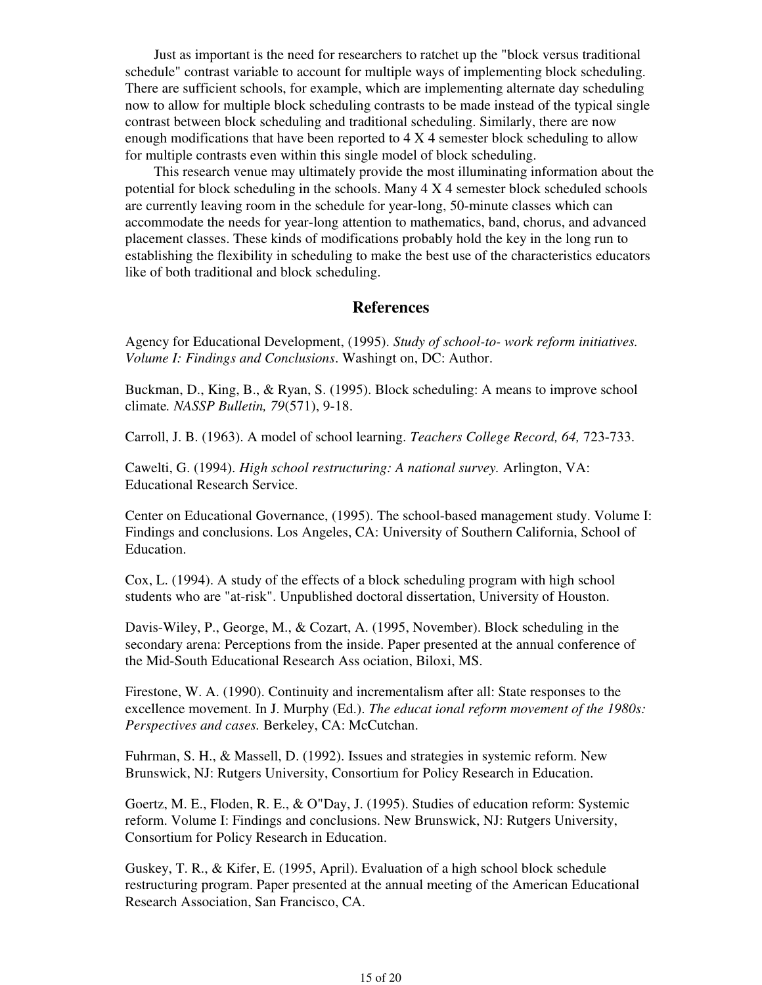Just as important is the need for researchers to ratchet up the "block versus traditional schedule" contrast variable to account for multiple ways of implementing block scheduling. There are sufficient schools, for example, which are implementing alternate day scheduling now to allow for multiple block scheduling contrasts to be made instead of the typical single contrast between block scheduling and traditional scheduling. Similarly, there are now enough modifications that have been reported to 4 X 4 semester block scheduling to allow for multiple contrasts even within this single model of block scheduling.

 This research venue may ultimately provide the most illuminating information about the potential for block scheduling in the schools. Many 4 X 4 semester block scheduled schools are currently leaving room in the schedule for year-long, 50-minute classes which can accommodate the needs for year-long attention to mathematics, band, chorus, and advanced placement classes. These kinds of modifications probably hold the key in the long run to establishing the flexibility in scheduling to make the best use of the characteristics educators like of both traditional and block scheduling.

# **References**

Agency for Educational Development, (1995). *Study of school-to- work reform initiatives. Volume I: Findings and Conclusions*. Washingt on, DC: Author.

Buckman, D., King, B., & Ryan, S. (1995). Block scheduling: A means to improve school climate*. NASSP Bulletin, 79*(571), 9-18.

Carroll, J. B. (1963). A model of school learning. *Teachers College Record, 64,* 723-733.

Cawelti, G. (1994). *High school restructuring: A national survey.* Arlington, VA: Educational Research Service.

Center on Educational Governance, (1995). The school-based management study. Volume I: Findings and conclusions. Los Angeles, CA: University of Southern California, School of Education.

Cox, L. (1994). A study of the effects of a block scheduling program with high school students who are "at-risk". Unpublished doctoral dissertation, University of Houston.

Davis-Wiley, P., George, M., & Cozart, A. (1995, November). Block scheduling in the secondary arena: Perceptions from the inside. Paper presented at the annual conference of the Mid-South Educational Research Ass ociation, Biloxi, MS.

Firestone, W. A. (1990). Continuity and incrementalism after all: State responses to the excellence movement. In J. Murphy (Ed.). *The educat ional reform movement of the 1980s: Perspectives and cases.* Berkeley, CA: McCutchan.

Fuhrman, S. H., & Massell, D. (1992). Issues and strategies in systemic reform. New Brunswick, NJ: Rutgers University, Consortium for Policy Research in Education.

Goertz, M. E., Floden, R. E., & O"Day, J. (1995). Studies of education reform: Systemic reform. Volume I: Findings and conclusions. New Brunswick, NJ: Rutgers University, Consortium for Policy Research in Education.

Guskey, T. R., & Kifer, E. (1995, April). Evaluation of a high school block schedule restructuring program. Paper presented at the annual meeting of the American Educational Research Association, San Francisco, CA.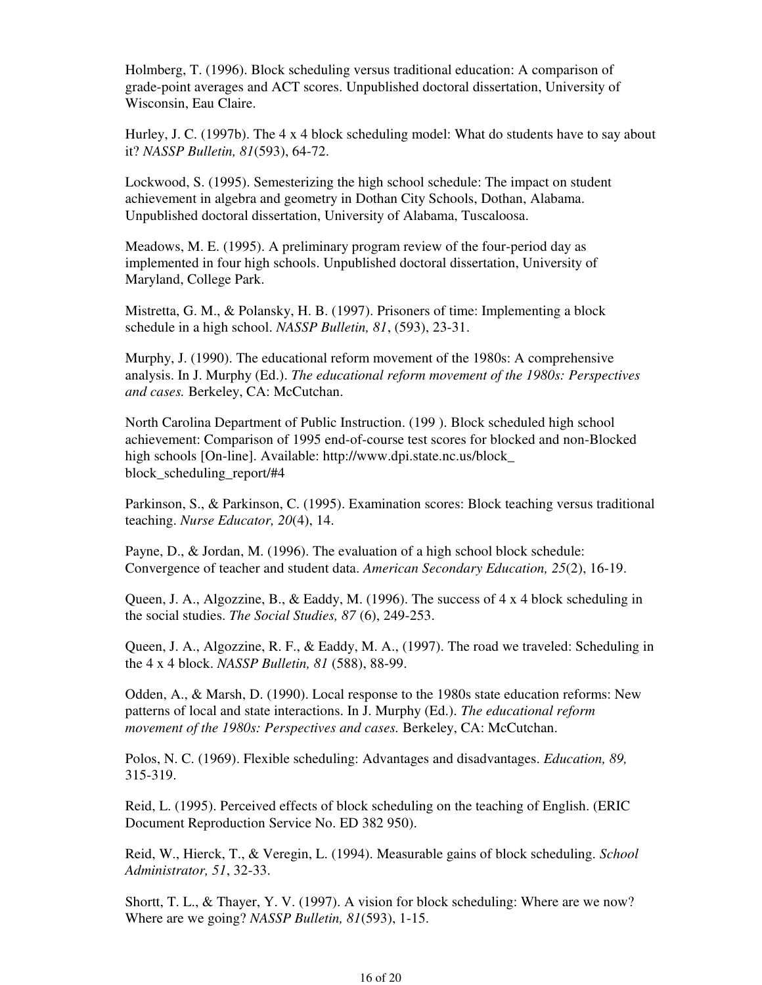Holmberg, T. (1996). Block scheduling versus traditional education: A comparison of grade-point averages and ACT scores. Unpublished doctoral dissertation, University of Wisconsin, Eau Claire.

Hurley, J. C. (1997b). The 4 x 4 block scheduling model: What do students have to say about it? *NASSP Bulletin, 81*(593), 64-72.

Lockwood, S. (1995). Semesterizing the high school schedule: The impact on student achievement in algebra and geometry in Dothan City Schools, Dothan, Alabama. Unpublished doctoral dissertation, University of Alabama, Tuscaloosa.

Meadows, M. E. (1995). A preliminary program review of the four-period day as implemented in four high schools. Unpublished doctoral dissertation, University of Maryland, College Park.

Mistretta, G. M., & Polansky, H. B. (1997). Prisoners of time: Implementing a block schedule in a high school. *NASSP Bulletin, 81*, (593), 23-31.

Murphy, J. (1990). The educational reform movement of the 1980s: A comprehensive analysis. In J. Murphy (Ed.). *The educational reform movement of the 1980s: Perspectives and cases.* Berkeley, CA: McCutchan.

North Carolina Department of Public Instruction. (199 ). Block scheduled high school achievement: Comparison of 1995 end-of-course test scores for blocked and non-Blocked high schools [On-line]. Available: http://www.dpi.state.nc.us/block\_ block scheduling report/#4

Parkinson, S., & Parkinson, C. (1995). Examination scores: Block teaching versus traditional teaching. *Nurse Educator, 20*(4), 14.

Payne, D., & Jordan, M. (1996). The evaluation of a high school block schedule: Convergence of teacher and student data. *American Secondary Education, 25*(2), 16-19.

Queen, J. A., Algozzine, B., & Eaddy, M. (1996). The success of 4 x 4 block scheduling in the social studies. *The Social Studies, 87* (6), 249-253.

Queen, J. A., Algozzine, R. F., & Eaddy, M. A., (1997). The road we traveled: Scheduling in the 4 x 4 block. *NASSP Bulletin, 81* (588), 88-99.

Odden, A., & Marsh, D. (1990). Local response to the 1980s state education reforms: New patterns of local and state interactions. In J. Murphy (Ed.). *The educational reform movement of the 1980s: Perspectives and cases.* Berkeley, CA: McCutchan.

Polos, N. C. (1969). Flexible scheduling: Advantages and disadvantages. *Education, 89,* 315-319.

Reid, L. (1995). Perceived effects of block scheduling on the teaching of English. (ERIC Document Reproduction Service No. ED 382 950).

Reid, W., Hierck, T., & Veregin, L. (1994). Measurable gains of block scheduling. *School Administrator, 51*, 32-33.

Shortt, T. L., & Thayer, Y. V. (1997). A vision for block scheduling: Where are we now? Where are we going? *NASSP Bulletin, 81*(593), 1-15.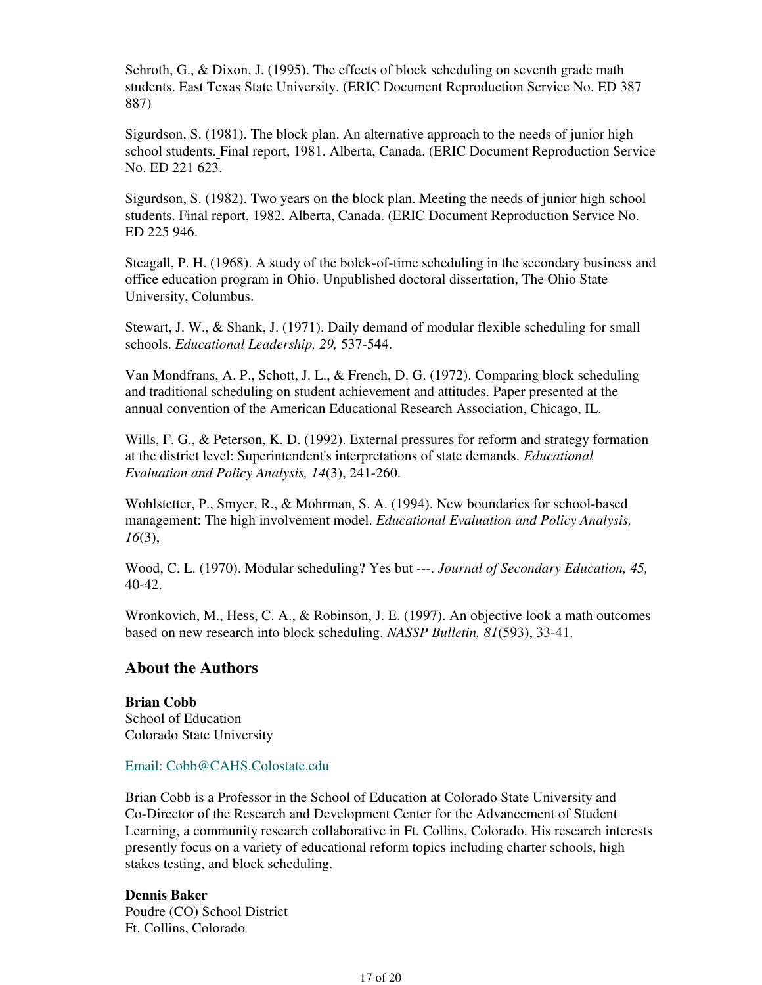Schroth, G., & Dixon, J. (1995). The effects of block scheduling on seventh grade math students. East Texas State University. (ERIC Document Reproduction Service No. ED 387 887)

Sigurdson, S. (1981). The block plan. An alternative approach to the needs of junior high school students. Final report, 1981. Alberta, Canada. (ERIC Document Reproduction Service No. ED 221 623.

Sigurdson, S. (1982). Two years on the block plan. Meeting the needs of junior high school students. Final report, 1982. Alberta, Canada. (ERIC Document Reproduction Service No. ED 225 946.

Steagall, P. H. (1968). A study of the bolck-of-time scheduling in the secondary business and office education program in Ohio. Unpublished doctoral dissertation, The Ohio State University, Columbus.

Stewart, J. W., & Shank, J. (1971). Daily demand of modular flexible scheduling for small schools. *Educational Leadership, 29,* 537-544.

Van Mondfrans, A. P., Schott, J. L., & French, D. G. (1972). Comparing block scheduling and traditional scheduling on student achievement and attitudes. Paper presented at the annual convention of the American Educational Research Association, Chicago, IL.

Wills, F. G., & Peterson, K. D. (1992). External pressures for reform and strategy formation at the district level: Superintendent's interpretations of state demands. *Educational Evaluation and Policy Analysis, 14*(3), 241-260.

Wohlstetter, P., Smyer, R., & Mohrman, S. A. (1994). New boundaries for school-based management: The high involvement model. *Educational Evaluation and Policy Analysis, 16*(3),

Wood, C. L. (1970). Modular scheduling? Yes but ---. *Journal of Secondary Education, 45,* 40-42.

Wronkovich, M., Hess, C. A., & Robinson, J. E. (1997). An objective look a math outcomes based on new research into block scheduling. *NASSP Bulletin, 81*(593), 33-41.

### **About the Authors**

**Brian Cobb** School of Education Colorado State University

### Email: Cobb@CAHS.Colostate.edu

Brian Cobb is a Professor in the School of Education at Colorado State University and Co-Director of the Research and Development Center for the Advancement of Student Learning, a community research collaborative in Ft. Collins, Colorado. His research interests presently focus on a variety of educational reform topics including charter schools, high stakes testing, and block scheduling.

### **Dennis Baker**

Poudre (CO) School District Ft. Collins, Colorado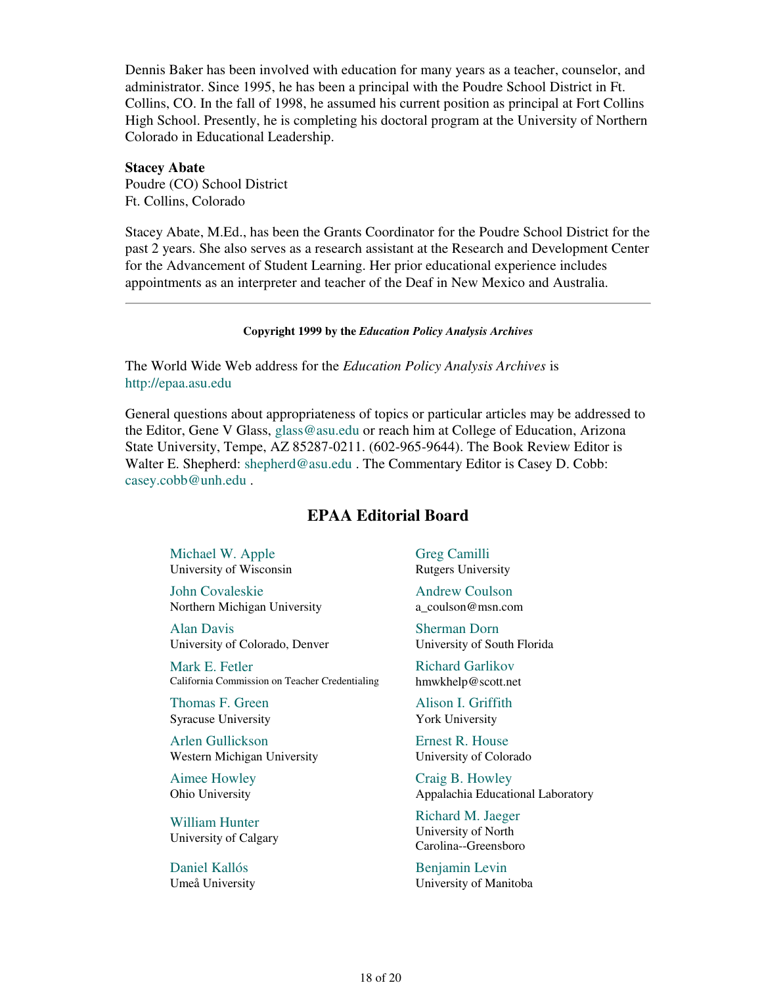Dennis Baker has been involved with education for many years as a teacher, counselor, and administrator. Since 1995, he has been a principal with the Poudre School District in Ft. Collins, CO. In the fall of 1998, he assumed his current position as principal at Fort Collins High School. Presently, he is completing his doctoral program at the University of Northern Colorado in Educational Leadership.

**Stacey Abate** Poudre (CO) School District Ft. Collins, Colorado

Stacey Abate, M.Ed., has been the Grants Coordinator for the Poudre School District for the past 2 years. She also serves as a research assistant at the Research and Development Center for the Advancement of Student Learning. Her prior educational experience includes appointments as an interpreter and teacher of the Deaf in New Mexico and Australia.

#### **Copyright 1999 by the** *Education Policy Analysis Archives*

The World Wide Web address for the *Education Policy Analysis Archives* is http://epaa.asu.edu

General questions about appropriateness of topics or particular articles may be addressed to the Editor, Gene V Glass, glass@asu.edu or reach him at College of Education, Arizona State University, Tempe, AZ 85287-0211. (602-965-9644). The Book Review Editor is Walter E. Shepherd: shepherd@asu.edu . The Commentary Editor is Casey D. Cobb: casey.cobb@unh.edu .

### **EPAA Editorial Board**

Michael W. Apple University of Wisconsin

John Covaleskie Northern Michigan University

Alan Davis University of Colorado, Denver

Mark E. Fetler California Commission on Teacher Credentialing

Thomas F. Green Syracuse University

Arlen Gullickson Western Michigan University

Aimee Howley Ohio University

William Hunter University of Calgary

Daniel Kallós Umeå University Greg Camilli Rutgers University

Andrew Coulson a\_coulson@msn.com

Sherman Dorn University of South Florida

Richard Garlikov hmwkhelp@scott.net

Alison I. Griffith York University

Ernest R. House University of Colorado

Craig B. Howley Appalachia Educational Laboratory

Richard M. Jaeger University of North Carolina--Greensboro

Benjamin Levin University of Manitoba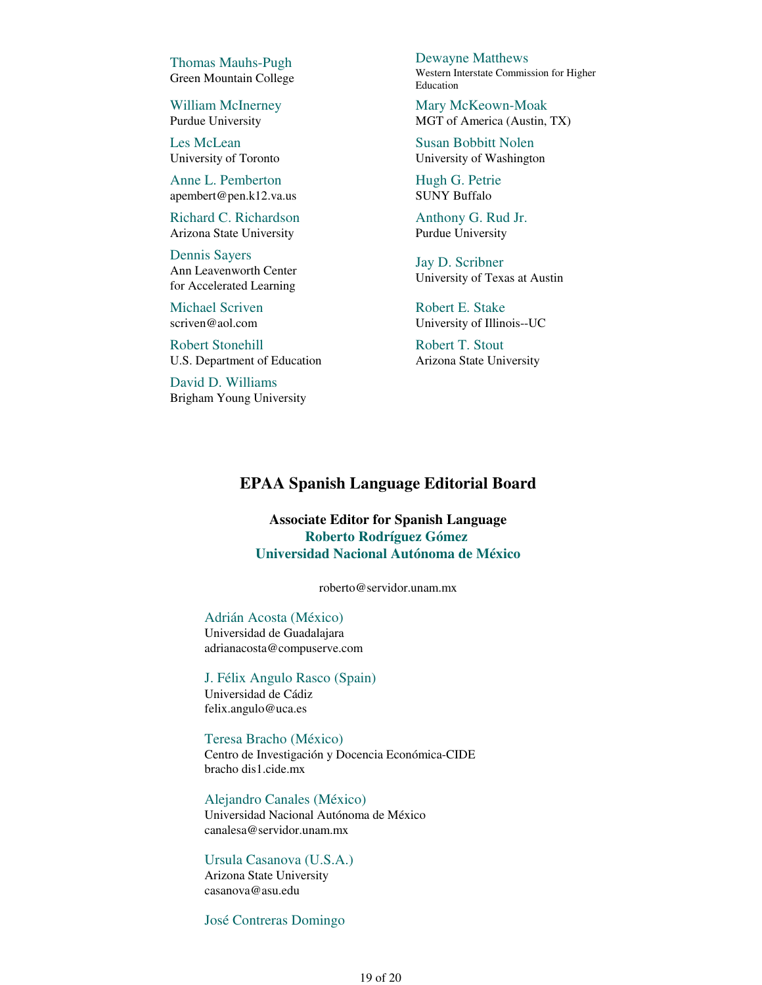Thomas Mauhs-Pugh Green Mountain College

William McInerney Purdue University

Les McLean University of Toronto

Anne L. Pemberton apembert@pen.k12.va.us

Richard C. Richardson Arizona State University

Dennis Sayers Ann Leavenworth Center for Accelerated Learning

Michael Scriven scriven@aol.com

Robert Stonehill U.S. Department of Education

David D. Williams Brigham Young University Dewayne Matthews Western Interstate Commission for Higher Education

Mary McKeown-Moak MGT of America (Austin, TX)

Susan Bobbitt Nolen University of Washington

Hugh G. Petrie SUNY Buffalo

Anthony G. Rud Jr. Purdue University

Jay D. Scribner University of Texas at Austin

Robert E. Stake University of Illinois--UC

Robert T. Stout Arizona State University

### **EPAA Spanish Language Editorial Board**

**Associate Editor for Spanish Language Roberto Rodríguez Gómez Universidad Nacional Autónoma de México**

roberto@servidor.unam.mx

#### Adrián Acosta (México)

Universidad de Guadalajara adrianacosta@compuserve.com

J. Félix Angulo Rasco (Spain) Universidad de Cádiz felix.angulo@uca.es

Teresa Bracho (México) Centro de Investigación y Docencia Económica-CIDE bracho dis1.cide.mx

Alejandro Canales (México) Universidad Nacional Autónoma de México canalesa@servidor.unam.mx

#### Ursula Casanova (U.S.A.)

Arizona State University casanova@asu.edu

José Contreras Domingo